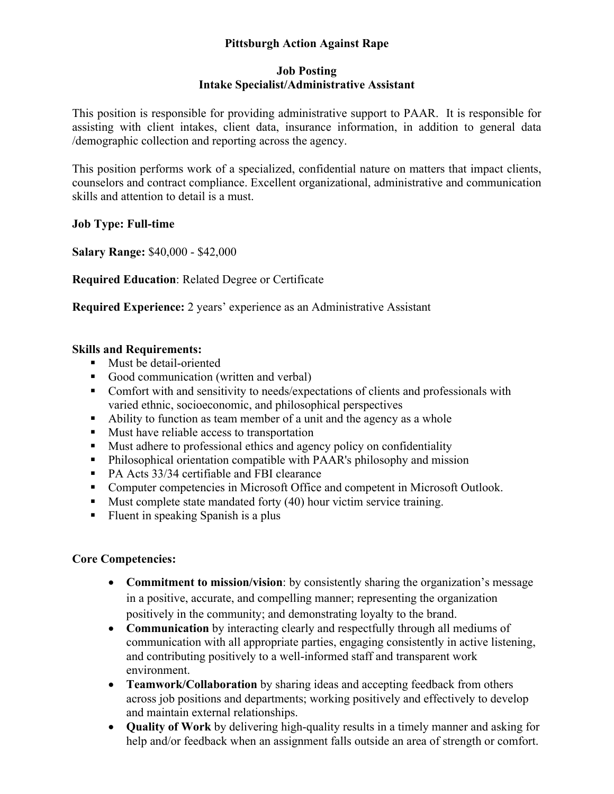# **Pittsburgh Action Against Rape**

#### **Job Posting Intake Specialist/Administrative Assistant**

This position is responsible for providing administrative support to PAAR. It is responsible for assisting with client intakes, client data, insurance information, in addition to general data /demographic collection and reporting across the agency.

This position performs work of a specialized, confidential nature on matters that impact clients, counselors and contract compliance. Excellent organizational, administrative and communication skills and attention to detail is a must.

**Job Type: Full-time** 

**Salary Range:** \$40,000 - \$42,000

**Required Education**: Related Degree or Certificate

**Required Experience:** 2 years' experience as an Administrative Assistant

### **Skills and Requirements:**

- **Must be detail-oriented**
- Good communication (written and verbal)
- Comfort with and sensitivity to needs/expectations of clients and professionals with varied ethnic, socioeconomic, and philosophical perspectives
- Ability to function as team member of a unit and the agency as a whole
- **Must have reliable access to transportation**
- Must adhere to professional ethics and agency policy on confidentiality
- Philosophical orientation compatible with PAAR's philosophy and mission
- PA Acts 33/34 certifiable and FBI clearance
- Computer competencies in Microsoft Office and competent in Microsoft Outlook.
- $\blacksquare$  Must complete state mandated forty (40) hour victim service training.
- Fluent in speaking Spanish is a plus

### **Core Competencies:**

- **Commitment to mission/vision**: by consistently sharing the organization's message in a positive, accurate, and compelling manner; representing the organization positively in the community; and demonstrating loyalty to the brand.
- **Communication** by interacting clearly and respectfully through all mediums of communication with all appropriate parties, engaging consistently in active listening, and contributing positively to a well-informed staff and transparent work environment.
- **Teamwork/Collaboration** by sharing ideas and accepting feedback from others across job positions and departments; working positively and effectively to develop and maintain external relationships.
- **Quality of Work** by delivering high-quality results in a timely manner and asking for help and/or feedback when an assignment falls outside an area of strength or comfort.